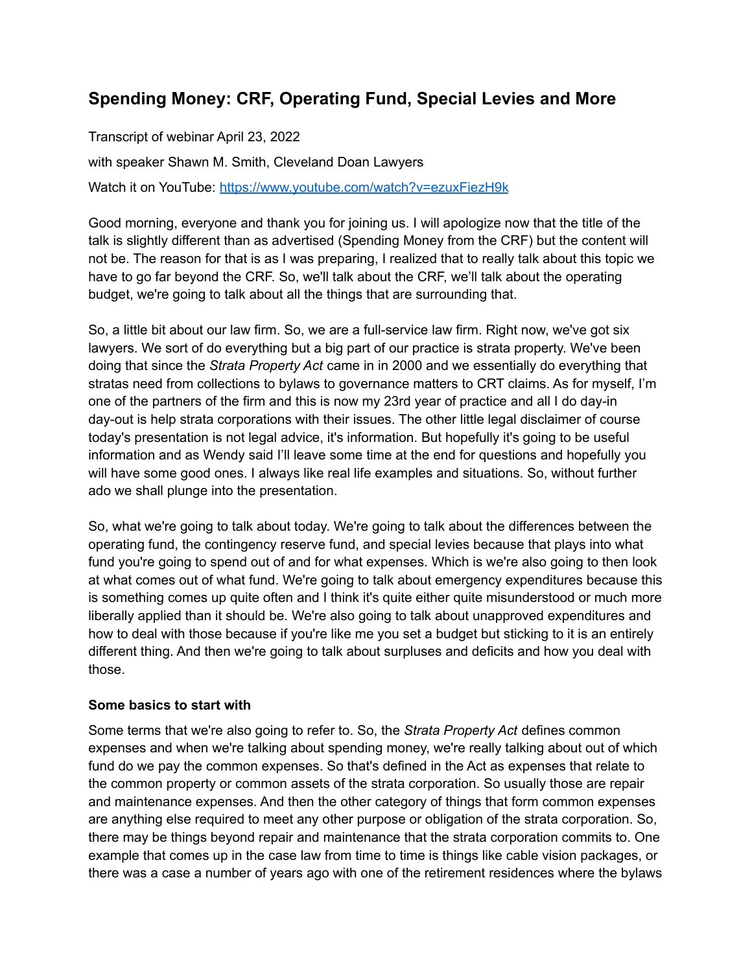# **Spending Money: CRF, Operating Fund, Special Levies and More**

Transcript of webinar April 23, 2022 with speaker Shawn M. Smith, Cleveland Doan Lawyers

Watch it on YouTube: <https://www.youtube.com/watch?v=ezuxFiezH9k>

Good morning, everyone and thank you for joining us. I will apologize now that the title of the talk is slightly different than as advertised (Spending Money from the CRF) but the content will not be. The reason for that is as I was preparing, I realized that to really talk about this topic we have to go far beyond the CRF. So, we'll talk about the CRF, we'll talk about the operating budget, we're going to talk about all the things that are surrounding that.

So, a little bit about our law firm. So, we are a full-service law firm. Right now, we've got six lawyers. We sort of do everything but a big part of our practice is strata property. We've been doing that since the *Strata Property Act* came in in 2000 and we essentially do everything that stratas need from collections to bylaws to governance matters to CRT claims. As for myself, I'm one of the partners of the firm and this is now my 23rd year of practice and all I do day-in day-out is help strata corporations with their issues. The other little legal disclaimer of course today's presentation is not legal advice, it's information. But hopefully it's going to be useful information and as Wendy said I'll leave some time at the end for questions and hopefully you will have some good ones. I always like real life examples and situations. So, without further ado we shall plunge into the presentation.

So, what we're going to talk about today. We're going to talk about the differences between the operating fund, the contingency reserve fund, and special levies because that plays into what fund you're going to spend out of and for what expenses. Which is we're also going to then look at what comes out of what fund. We're going to talk about emergency expenditures because this is something comes up quite often and I think it's quite either quite misunderstood or much more liberally applied than it should be. We're also going to talk about unapproved expenditures and how to deal with those because if you're like me you set a budget but sticking to it is an entirely different thing. And then we're going to talk about surpluses and deficits and how you deal with those.

## **Some basics to start with**

Some terms that we're also going to refer to. So, the *Strata Property Act* defines common expenses and when we're talking about spending money, we're really talking about out of which fund do we pay the common expenses. So that's defined in the Act as expenses that relate to the common property or common assets of the strata corporation. So usually those are repair and maintenance expenses. And then the other category of things that form common expenses are anything else required to meet any other purpose or obligation of the strata corporation. So, there may be things beyond repair and maintenance that the strata corporation commits to. One example that comes up in the case law from time to time is things like cable vision packages, or there was a case a number of years ago with one of the retirement residences where the bylaws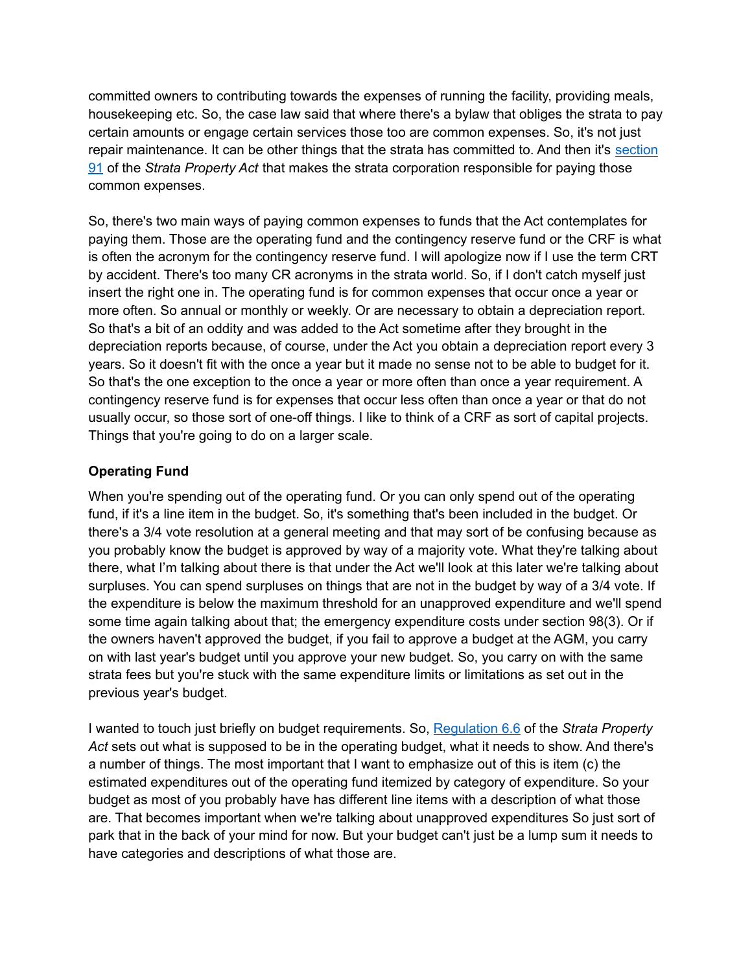committed owners to contributing towards the expenses of running the facility, providing meals, housekeeping etc. So, the case law said that where there's a bylaw that obliges the strata to pay certain amounts or engage certain services those too are common expenses. So, it's not just repair maintenance. It can be other things that the strata has committed to. And then it's [section](https://www.bclaws.gov.bc.ca/civix/document/id/complete/statreg/98043_06#section91) [91](https://www.bclaws.gov.bc.ca/civix/document/id/complete/statreg/98043_06#section91) of the *Strata Property Act* that makes the strata corporation responsible for paying those common expenses.

So, there's two main ways of paying common expenses to funds that the Act contemplates for paying them. Those are the operating fund and the contingency reserve fund or the CRF is what is often the acronym for the contingency reserve fund. I will apologize now if I use the term CRT by accident. There's too many CR acronyms in the strata world. So, if I don't catch myself just insert the right one in. The operating fund is for common expenses that occur once a year or more often. So annual or monthly or weekly. Or are necessary to obtain a depreciation report. So that's a bit of an oddity and was added to the Act sometime after they brought in the depreciation reports because, of course, under the Act you obtain a depreciation report every 3 years. So it doesn't fit with the once a year but it made no sense not to be able to budget for it. So that's the one exception to the once a year or more often than once a year requirement. A contingency reserve fund is for expenses that occur less often than once a year or that do not usually occur, so those sort of one-off things. I like to think of a CRF as sort of capital projects. Things that you're going to do on a larger scale.

## **Operating Fund**

When you're spending out of the operating fund. Or you can only spend out of the operating fund, if it's a line item in the budget. So, it's something that's been included in the budget. Or there's a 3/4 vote resolution at a general meeting and that may sort of be confusing because as you probably know the budget is approved by way of a majority vote. What they're talking about there, what I'm talking about there is that under the Act we'll look at this later we're talking about surpluses. You can spend surpluses on things that are not in the budget by way of a 3/4 vote. If the expenditure is below the maximum threshold for an unapproved expenditure and we'll spend some time again talking about that; the emergency expenditure costs under section 98(3). Or if the owners haven't approved the budget, if you fail to approve a budget at the AGM, you carry on with last year's budget until you approve your new budget. So, you carry on with the same strata fees but you're stuck with the same expenditure limits or limitations as set out in the previous year's budget.

I wanted to touch just briefly on budget requirements. So, [Regulation](https://www.bclaws.gov.bc.ca/civix/document/id/complete/statreg/43_2000#section6.6) 6.6 of the *Strata Property Act* sets out what is supposed to be in the operating budget, what it needs to show. And there's a number of things. The most important that I want to emphasize out of this is item (c) the estimated expenditures out of the operating fund itemized by category of expenditure. So your budget as most of you probably have has different line items with a description of what those are. That becomes important when we're talking about unapproved expenditures So just sort of park that in the back of your mind for now. But your budget can't just be a lump sum it needs to have categories and descriptions of what those are.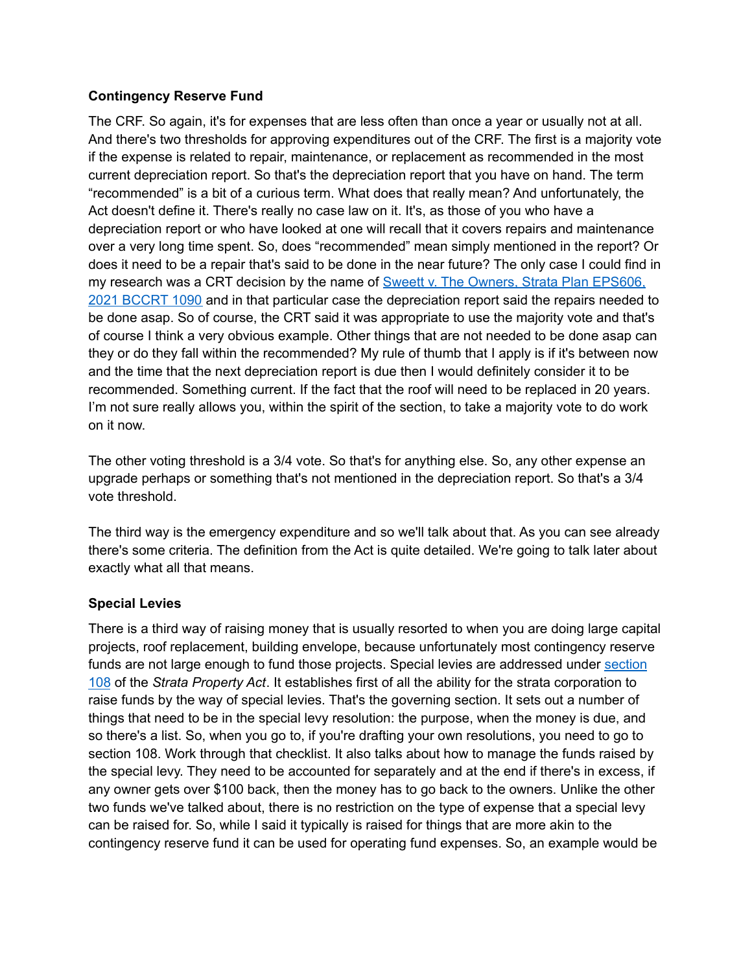#### **Contingency Reserve Fund**

The CRF. So again, it's for expenses that are less often than once a year or usually not at all. And there's two thresholds for approving expenditures out of the CRF. The first is a majority vote if the expense is related to repair, maintenance, or replacement as recommended in the most current depreciation report. So that's the depreciation report that you have on hand. The term "recommended" is a bit of a curious term. What does that really mean? And unfortunately, the Act doesn't define it. There's really no case law on it. It's, as those of you who have a depreciation report or who have looked at one will recall that it covers repairs and maintenance over a very long time spent. So, does "recommended" mean simply mentioned in the report? Or does it need to be a repair that's said to be done in the near future? The only case I could find in my research was a CRT decision by the name of **Sweett v. The Owners, Strata Plan EPS606**, 2021 [BCCRT](https://decisions.civilresolutionbc.ca/crt/sd/en/item/514366/index.do) 1090 and in that particular case the depreciation report said the repairs needed to be done asap. So of course, the CRT said it was appropriate to use the majority vote and that's of course I think a very obvious example. Other things that are not needed to be done asap can they or do they fall within the recommended? My rule of thumb that I apply is if it's between now and the time that the next depreciation report is due then I would definitely consider it to be recommended. Something current. If the fact that the roof will need to be replaced in 20 years. I'm not sure really allows you, within the spirit of the section, to take a majority vote to do work on it now.

The other voting threshold is a 3/4 vote. So that's for anything else. So, any other expense an upgrade perhaps or something that's not mentioned in the depreciation report. So that's a 3/4 vote threshold.

The third way is the emergency expenditure and so we'll talk about that. As you can see already there's some criteria. The definition from the Act is quite detailed. We're going to talk later about exactly what all that means.

## **Special Levies**

There is a third way of raising money that is usually resorted to when you are doing large capital projects, roof replacement, building envelope, because unfortunately most contingency reserve funds are not large enough to fund those projects. Special levies are addressed under [section](https://www.bclaws.gov.bc.ca/civix/document/id/complete/statreg/98043_06#section108) [108](https://www.bclaws.gov.bc.ca/civix/document/id/complete/statreg/98043_06#section108) of the *Strata Property Act*. It establishes first of all the ability for the strata corporation to raise funds by the way of special levies. That's the governing section. It sets out a number of things that need to be in the special levy resolution: the purpose, when the money is due, and so there's a list. So, when you go to, if you're drafting your own resolutions, you need to go to section 108. Work through that checklist. It also talks about how to manage the funds raised by the special levy. They need to be accounted for separately and at the end if there's in excess, if any owner gets over \$100 back, then the money has to go back to the owners. Unlike the other two funds we've talked about, there is no restriction on the type of expense that a special levy can be raised for. So, while I said it typically is raised for things that are more akin to the contingency reserve fund it can be used for operating fund expenses. So, an example would be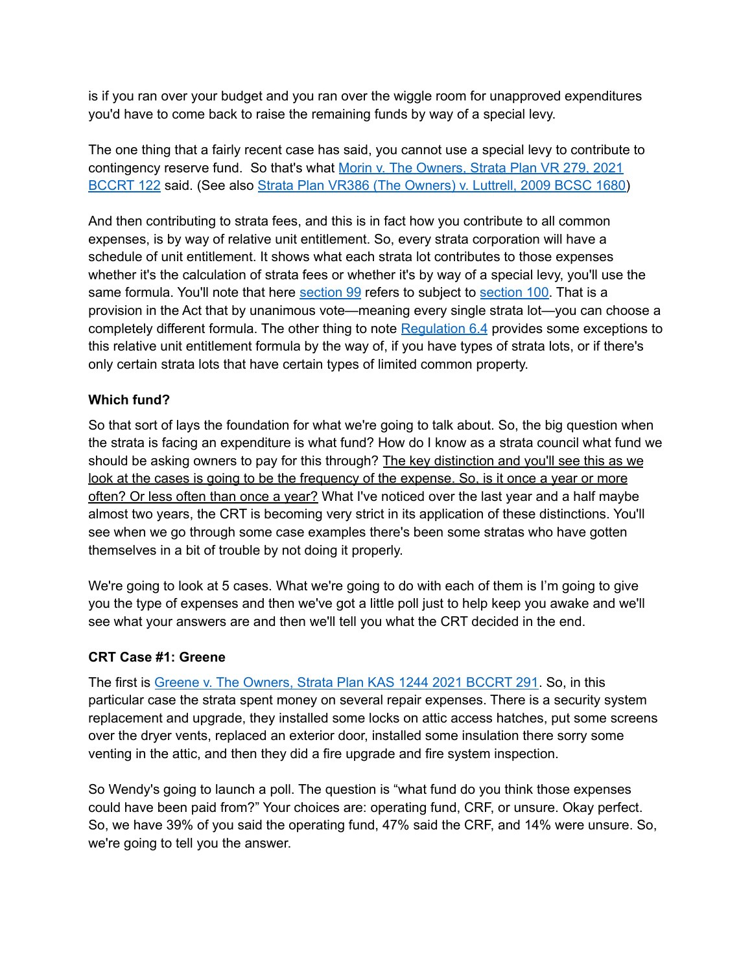is if you ran over your budget and you ran over the wiggle room for unapproved expenditures you'd have to come back to raise the remaining funds by way of a special levy.

The one thing that a fairly recent case has said, you cannot use a special levy to contribute to contingency reserve fund. So that's what Morin v. The [Owners,](https://decisions.civilresolutionbc.ca/crt/sd/en/item/492093/index.do) Strata Plan VR 279, 2021 [BCCRT](https://decisions.civilresolutionbc.ca/crt/sd/en/item/492093/index.do) 122 said. (See also Strata Plan VR386 (The [Owners\)](https://www.canlii.org/en/bc/bcsc/doc/2009/2009bcsc1680/2009bcsc1680.html) v. Luttrell, 2009 BCSC 1680)

And then contributing to strata fees, and this is in fact how you contribute to all common expenses, is by way of relative unit entitlement. So, every strata corporation will have a schedule of unit entitlement. It shows what each strata lot contributes to those expenses whether it's the calculation of strata fees or whether it's by way of a special levy, you'll use the same formula. You'll note that here [section](https://www.bclaws.gov.bc.ca/civix/document/id/complete/statreg/98043_06#section100) 99 refers to subject to section 100. That is a provision in the Act that by unanimous vote—meaning every single strata lot—you can choose a completely different formula. The other thing to note [Regulation](https://www.bclaws.gov.bc.ca/civix/document/id/complete/statreg/43_2000#section6.4) 6.4 provides some exceptions to this relative unit entitlement formula by the way of, if you have types of strata lots, or if there's only certain strata lots that have certain types of limited common property.

## **Which fund?**

So that sort of lays the foundation for what we're going to talk about. So, the big question when the strata is facing an expenditure is what fund? How do I know as a strata council what fund we should be asking owners to pay for this through? The key distinction and you'll see this as we look at the cases is going to be the frequency of the expense. So, is it once a year or more often? Or less often than once a year? What I've noticed over the last year and a half maybe almost two years, the CRT is becoming very strict in its application of these distinctions. You'll see when we go through some case examples there's been some stratas who have gotten themselves in a bit of trouble by not doing it properly.

We're going to look at 5 cases. What we're going to do with each of them is I'm going to give you the type of expenses and then we've got a little poll just to help keep you awake and we'll see what your answers are and then we'll tell you what the CRT decided in the end.

## **CRT Case #1: Greene**

The first is Greene v. The [Owners,](https://decisions.civilresolutionbc.ca/crt/sd/en/item/494363/index.do) Strata Plan KAS 1244 2021 BCCRT 291. So, in this particular case the strata spent money on several repair expenses. There is a security system replacement and upgrade, they installed some locks on attic access hatches, put some screens over the dryer vents, replaced an exterior door, installed some insulation there sorry some venting in the attic, and then they did a fire upgrade and fire system inspection.

So Wendy's going to launch a poll. The question is "what fund do you think those expenses could have been paid from?" Your choices are: operating fund, CRF, or unsure. Okay perfect. So, we have 39% of you said the operating fund, 47% said the CRF, and 14% were unsure. So, we're going to tell you the answer.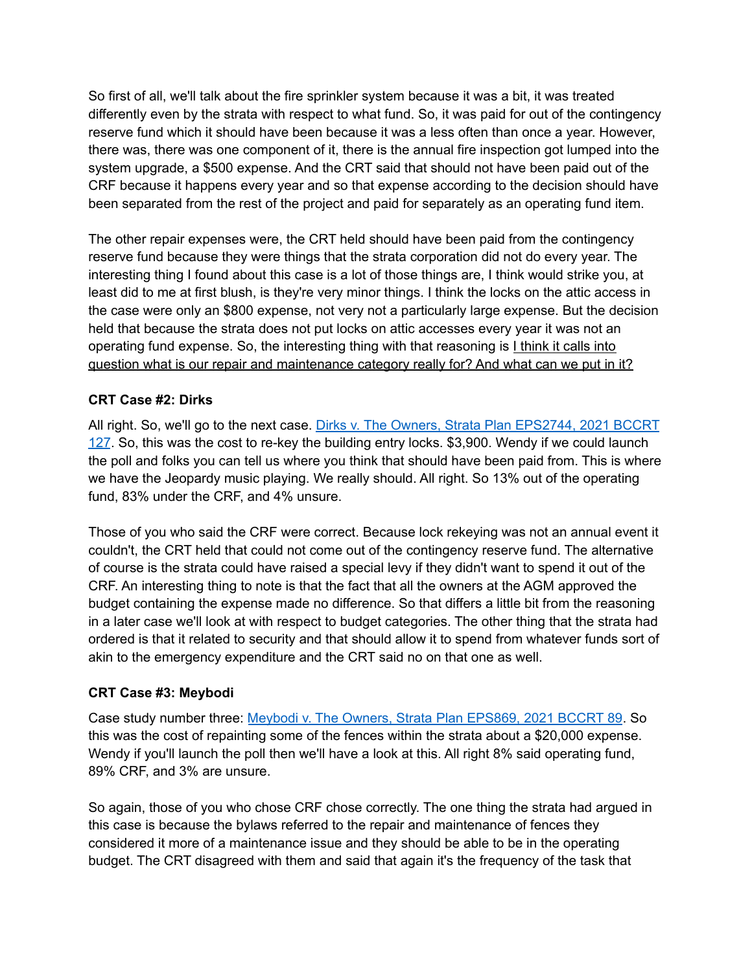So first of all, we'll talk about the fire sprinkler system because it was a bit, it was treated differently even by the strata with respect to what fund. So, it was paid for out of the contingency reserve fund which it should have been because it was a less often than once a year. However, there was, there was one component of it, there is the annual fire inspection got lumped into the system upgrade, a \$500 expense. And the CRT said that should not have been paid out of the CRF because it happens every year and so that expense according to the decision should have been separated from the rest of the project and paid for separately as an operating fund item.

The other repair expenses were, the CRT held should have been paid from the contingency reserve fund because they were things that the strata corporation did not do every year. The interesting thing I found about this case is a lot of those things are, I think would strike you, at least did to me at first blush, is they're very minor things. I think the locks on the attic access in the case were only an \$800 expense, not very not a particularly large expense. But the decision held that because the strata does not put locks on attic accesses every year it was not an operating fund expense. So, the interesting thing with that reasoning is I think it calls into question what is our repair and maintenance category really for? And what can we put in it?

## **CRT Case #2: Dirks**

All right. So, we'll go to the next case. Dirks v. The Owners, Strata Plan [EPS2744,](https://decisions.civilresolutionbc.ca/crt/sd/en/item/492188/index.do) 2021 BCCRT [127](https://decisions.civilresolutionbc.ca/crt/sd/en/item/492188/index.do). So, this was the cost to re-key the building entry locks. \$3,900. Wendy if we could launch the poll and folks you can tell us where you think that should have been paid from. This is where we have the Jeopardy music playing. We really should. All right. So 13% out of the operating fund, 83% under the CRF, and 4% unsure.

Those of you who said the CRF were correct. Because lock rekeying was not an annual event it couldn't, the CRT held that could not come out of the contingency reserve fund. The alternative of course is the strata could have raised a special levy if they didn't want to spend it out of the CRF. An interesting thing to note is that the fact that all the owners at the AGM approved the budget containing the expense made no difference. So that differs a little bit from the reasoning in a later case we'll look at with respect to budget categories. The other thing that the strata had ordered is that it related to security and that should allow it to spend from whatever funds sort of akin to the emergency expenditure and the CRT said no on that one as well.

## **CRT Case #3: Meybodi**

Case study number three: Meybodi v. The Owners, Strata Plan [EPS869,](https://decisions.civilresolutionbc.ca/crt/sd/en/item/491775/index.do) 2021 BCCRT 89. So this was the cost of repainting some of the fences within the strata about a \$20,000 expense. Wendy if you'll launch the poll then we'll have a look at this. All right 8% said operating fund, 89% CRF, and 3% are unsure.

So again, those of you who chose CRF chose correctly. The one thing the strata had argued in this case is because the bylaws referred to the repair and maintenance of fences they considered it more of a maintenance issue and they should be able to be in the operating budget. The CRT disagreed with them and said that again it's the frequency of the task that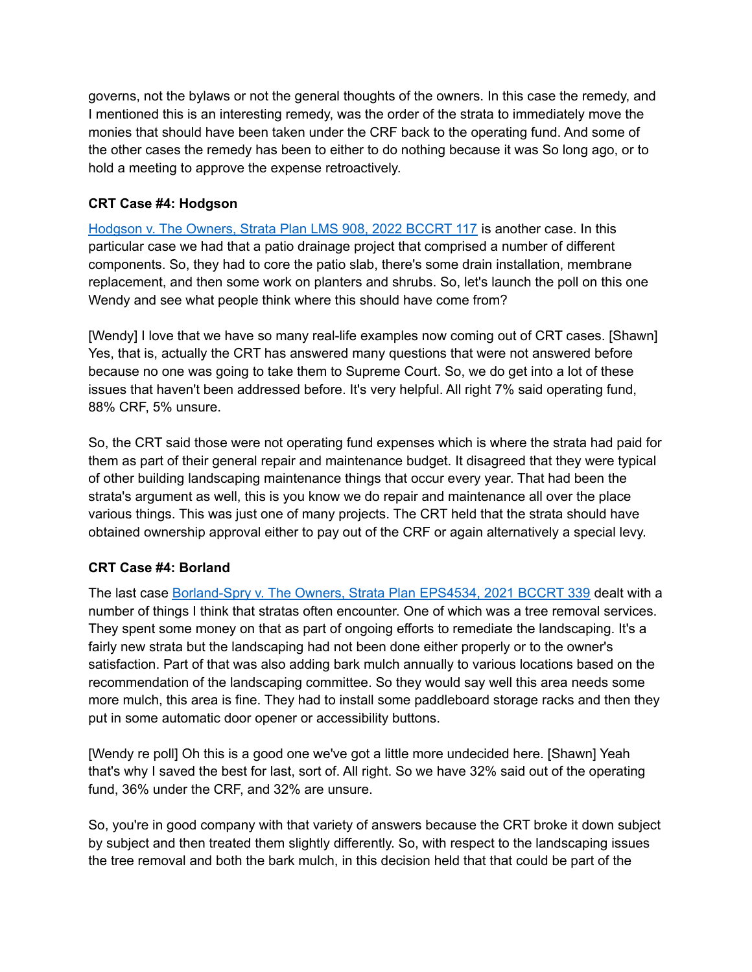governs, not the bylaws or not the general thoughts of the owners. In this case the remedy, and I mentioned this is an interesting remedy, was the order of the strata to immediately move the monies that should have been taken under the CRF back to the operating fund. And some of the other cases the remedy has been to either to do nothing because it was So long ago, or to hold a meeting to approve the expense retroactively.

## **CRT Case #4: Hodgson**

[Hodgson](https://decisions.civilresolutionbc.ca/crt/sd/en/item/520516/index.do) v. The Owners, Strata Plan LMS 908, 2022 BCCRT 117 is another case. In this particular case we had that a patio drainage project that comprised a number of different components. So, they had to core the patio slab, there's some drain installation, membrane replacement, and then some work on planters and shrubs. So, let's launch the poll on this one Wendy and see what people think where this should have come from?

[Wendy] I love that we have so many real-life examples now coming out of CRT cases. [Shawn] Yes, that is, actually the CRT has answered many questions that were not answered before because no one was going to take them to Supreme Court. So, we do get into a lot of these issues that haven't been addressed before. It's very helpful. All right 7% said operating fund, 88% CRF, 5% unsure.

So, the CRT said those were not operating fund expenses which is where the strata had paid for them as part of their general repair and maintenance budget. It disagreed that they were typical of other building landscaping maintenance things that occur every year. That had been the strata's argument as well, this is you know we do repair and maintenance all over the place various things. This was just one of many projects. The CRT held that the strata should have obtained ownership approval either to pay out of the CRF or again alternatively a special levy.

# **CRT Case #4: Borland**

The last case [Borland-Spry](https://decisions.civilresolutionbc.ca/crt/sd/en/item/494871/index.do) v. The Owners, Strata Plan EPS4534, 2021 BCCRT 339 dealt with a number of things I think that stratas often encounter. One of which was a tree removal services. They spent some money on that as part of ongoing efforts to remediate the landscaping. It's a fairly new strata but the landscaping had not been done either properly or to the owner's satisfaction. Part of that was also adding bark mulch annually to various locations based on the recommendation of the landscaping committee. So they would say well this area needs some more mulch, this area is fine. They had to install some paddleboard storage racks and then they put in some automatic door opener or accessibility buttons.

[Wendy re poll] Oh this is a good one we've got a little more undecided here. [Shawn] Yeah that's why I saved the best for last, sort of. All right. So we have 32% said out of the operating fund, 36% under the CRF, and 32% are unsure.

So, you're in good company with that variety of answers because the CRT broke it down subject by subject and then treated them slightly differently. So, with respect to the landscaping issues the tree removal and both the bark mulch, in this decision held that that could be part of the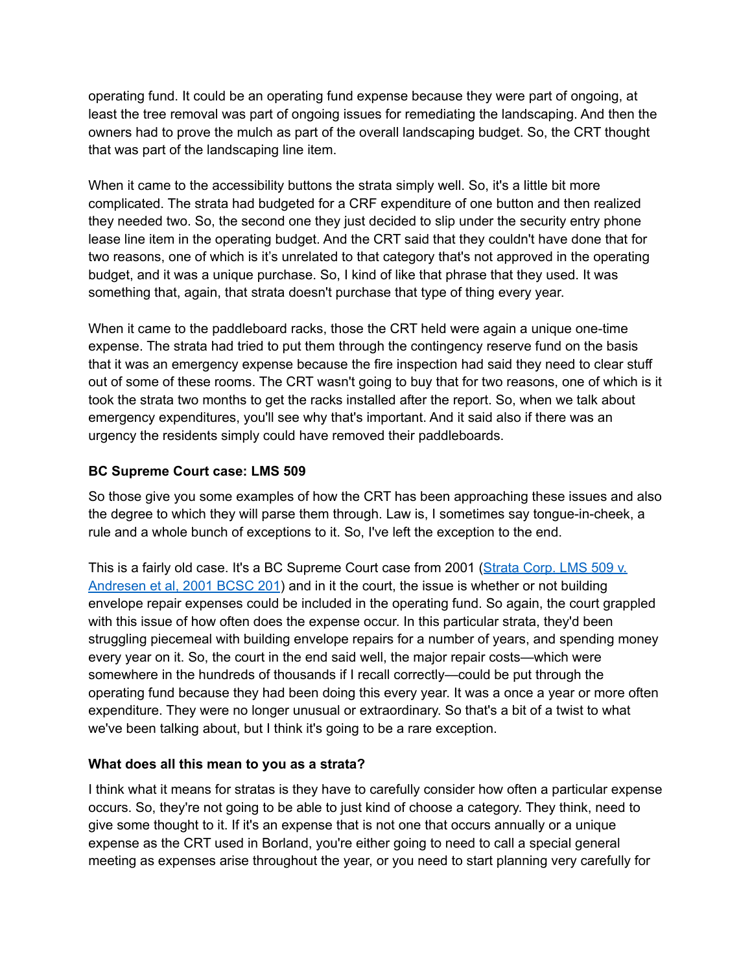operating fund. It could be an operating fund expense because they were part of ongoing, at least the tree removal was part of ongoing issues for remediating the landscaping. And then the owners had to prove the mulch as part of the overall landscaping budget. So, the CRT thought that was part of the landscaping line item.

When it came to the accessibility buttons the strata simply well. So, it's a little bit more complicated. The strata had budgeted for a CRF expenditure of one button and then realized they needed two. So, the second one they just decided to slip under the security entry phone lease line item in the operating budget. And the CRT said that they couldn't have done that for two reasons, one of which is it's unrelated to that category that's not approved in the operating budget, and it was a unique purchase. So, I kind of like that phrase that they used. It was something that, again, that strata doesn't purchase that type of thing every year.

When it came to the paddleboard racks, those the CRT held were again a unique one-time expense. The strata had tried to put them through the contingency reserve fund on the basis that it was an emergency expense because the fire inspection had said they need to clear stuff out of some of these rooms. The CRT wasn't going to buy that for two reasons, one of which is it took the strata two months to get the racks installed after the report. So, when we talk about emergency expenditures, you'll see why that's important. And it said also if there was an urgency the residents simply could have removed their paddleboards.

#### **BC Supreme Court case: LMS 509**

So those give you some examples of how the CRT has been approaching these issues and also the degree to which they will parse them through. Law is, I sometimes say tongue-in-cheek, a rule and a whole bunch of exceptions to it. So, I've left the exception to the end.

This is a fairly old case. It's a BC Supreme Court case from 2001 ([Strata](https://www.canlii.org/en/bc/bcsc/doc/2001/2001bcsc201/2001bcsc201.html) Corp. LMS 509 v. [Andresen](https://www.canlii.org/en/bc/bcsc/doc/2001/2001bcsc201/2001bcsc201.html) et al, 2001 BCSC 201) and in it the court, the issue is whether or not building envelope repair expenses could be included in the operating fund. So again, the court grappled with this issue of how often does the expense occur. In this particular strata, they'd been struggling piecemeal with building envelope repairs for a number of years, and spending money every year on it. So, the court in the end said well, the major repair costs—which were somewhere in the hundreds of thousands if I recall correctly—could be put through the operating fund because they had been doing this every year. It was a once a year or more often expenditure. They were no longer unusual or extraordinary. So that's a bit of a twist to what we've been talking about, but I think it's going to be a rare exception.

## **What does all this mean to you as a strata?**

I think what it means for stratas is they have to carefully consider how often a particular expense occurs. So, they're not going to be able to just kind of choose a category. They think, need to give some thought to it. If it's an expense that is not one that occurs annually or a unique expense as the CRT used in Borland, you're either going to need to call a special general meeting as expenses arise throughout the year, or you need to start planning very carefully for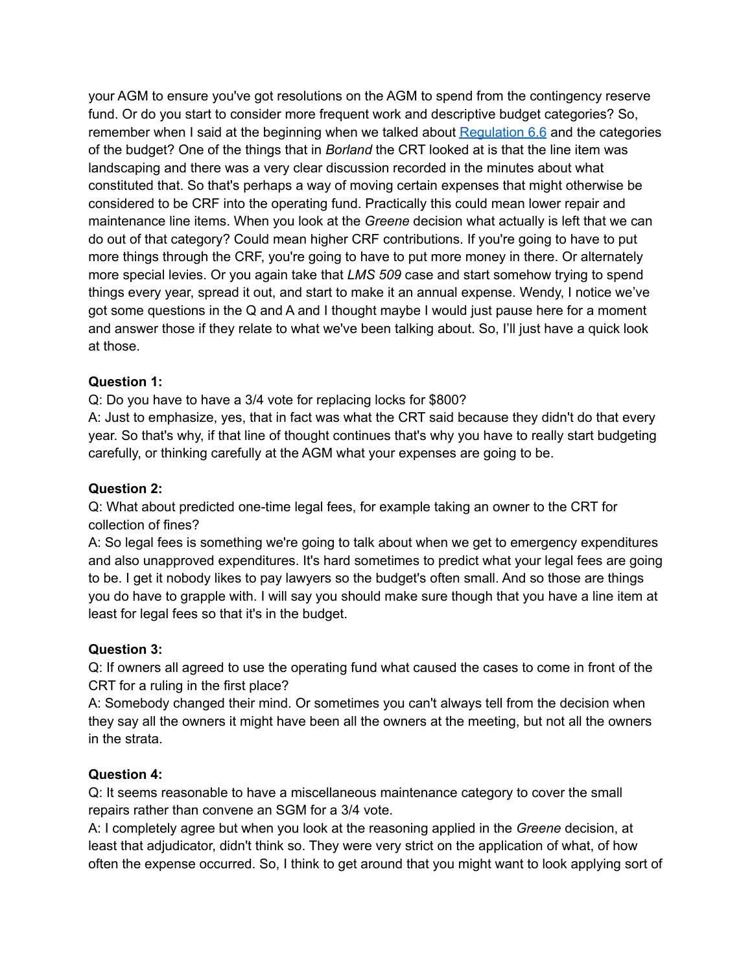your AGM to ensure you've got resolutions on the AGM to spend from the contingency reserve fund. Or do you start to consider more frequent work and descriptive budget categories? So, remember when I said at the beginning when we talked about [Regulation](https://www.bclaws.gov.bc.ca/civix/document/id/complete/statreg/43_2000#section6.6) 6.6 and the categories of the budget? One of the things that in *Borland* the CRT looked at is that the line item was landscaping and there was a very clear discussion recorded in the minutes about what constituted that. So that's perhaps a way of moving certain expenses that might otherwise be considered to be CRF into the operating fund. Practically this could mean lower repair and maintenance line items. When you look at the *Greene* decision what actually is left that we can do out of that category? Could mean higher CRF contributions. If you're going to have to put more things through the CRF, you're going to have to put more money in there. Or alternately more special levies. Or you again take that *LMS 509* case and start somehow trying to spend things every year, spread it out, and start to make it an annual expense. Wendy, I notice we've got some questions in the Q and A and I thought maybe I would just pause here for a moment and answer those if they relate to what we've been talking about. So, I'll just have a quick look at those.

#### **Question 1:**

Q: Do you have to have a 3/4 vote for replacing locks for \$800?

A: Just to emphasize, yes, that in fact was what the CRT said because they didn't do that every year. So that's why, if that line of thought continues that's why you have to really start budgeting carefully, or thinking carefully at the AGM what your expenses are going to be.

#### **Question 2:**

Q: What about predicted one-time legal fees, for example taking an owner to the CRT for collection of fines?

A: So legal fees is something we're going to talk about when we get to emergency expenditures and also unapproved expenditures. It's hard sometimes to predict what your legal fees are going to be. I get it nobody likes to pay lawyers so the budget's often small. And so those are things you do have to grapple with. I will say you should make sure though that you have a line item at least for legal fees so that it's in the budget.

#### **Question 3:**

Q: If owners all agreed to use the operating fund what caused the cases to come in front of the CRT for a ruling in the first place?

A: Somebody changed their mind. Or sometimes you can't always tell from the decision when they say all the owners it might have been all the owners at the meeting, but not all the owners in the strata.

#### **Question 4:**

Q: It seems reasonable to have a miscellaneous maintenance category to cover the small repairs rather than convene an SGM for a 3/4 vote.

A: I completely agree but when you look at the reasoning applied in the *Greene* decision, at least that adjudicator, didn't think so. They were very strict on the application of what, of how often the expense occurred. So, I think to get around that you might want to look applying sort of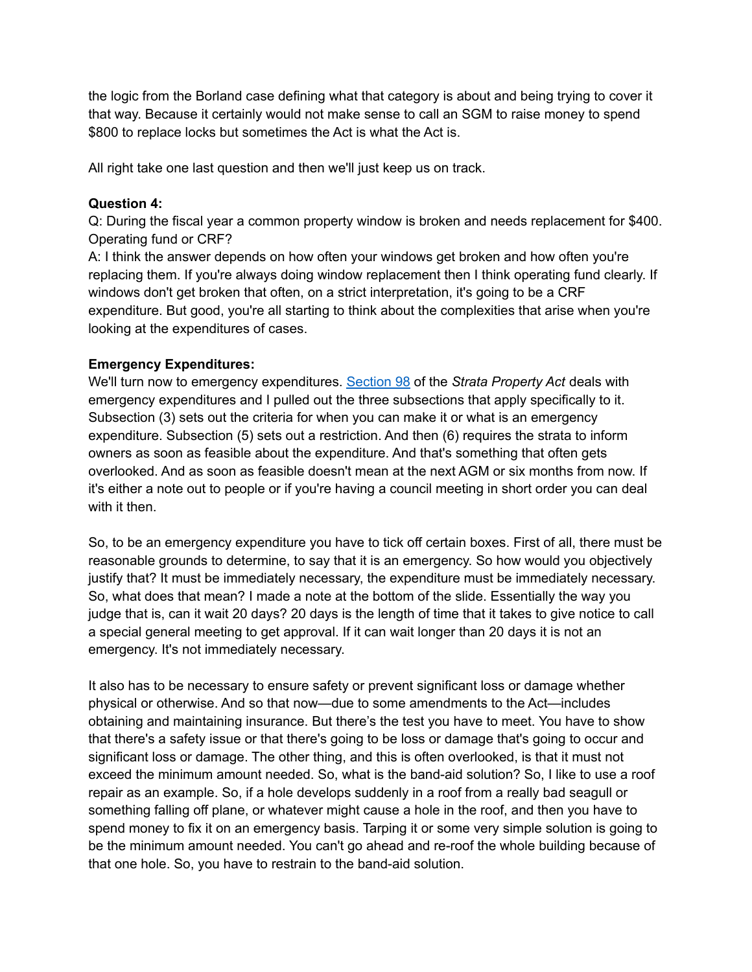the logic from the Borland case defining what that category is about and being trying to cover it that way. Because it certainly would not make sense to call an SGM to raise money to spend \$800 to replace locks but sometimes the Act is what the Act is.

All right take one last question and then we'll just keep us on track.

#### **Question 4:**

Q: During the fiscal year a common property window is broken and needs replacement for \$400. Operating fund or CRF?

A: I think the answer depends on how often your windows get broken and how often you're replacing them. If you're always doing window replacement then I think operating fund clearly. If windows don't get broken that often, on a strict interpretation, it's going to be a CRF expenditure. But good, you're all starting to think about the complexities that arise when you're looking at the expenditures of cases.

## **Emergency Expenditures:**

We'll turn now to emergency expenditures. [Section](https://www.bclaws.gov.bc.ca/civix/document/id/complete/statreg/98043_06#section98) 98 of the *Strata Property Act* deals with emergency expenditures and I pulled out the three subsections that apply specifically to it. Subsection (3) sets out the criteria for when you can make it or what is an emergency expenditure. Subsection (5) sets out a restriction. And then (6) requires the strata to inform owners as soon as feasible about the expenditure. And that's something that often gets overlooked. And as soon as feasible doesn't mean at the next AGM or six months from now. If it's either a note out to people or if you're having a council meeting in short order you can deal with it then.

So, to be an emergency expenditure you have to tick off certain boxes. First of all, there must be reasonable grounds to determine, to say that it is an emergency. So how would you objectively justify that? It must be immediately necessary, the expenditure must be immediately necessary. So, what does that mean? I made a note at the bottom of the slide. Essentially the way you judge that is, can it wait 20 days? 20 days is the length of time that it takes to give notice to call a special general meeting to get approval. If it can wait longer than 20 days it is not an emergency. It's not immediately necessary.

It also has to be necessary to ensure safety or prevent significant loss or damage whether physical or otherwise. And so that now—due to some amendments to the Act—includes obtaining and maintaining insurance. But there's the test you have to meet. You have to show that there's a safety issue or that there's going to be loss or damage that's going to occur and significant loss or damage. The other thing, and this is often overlooked, is that it must not exceed the minimum amount needed. So, what is the band-aid solution? So, I like to use a roof repair as an example. So, if a hole develops suddenly in a roof from a really bad seagull or something falling off plane, or whatever might cause a hole in the roof, and then you have to spend money to fix it on an emergency basis. Tarping it or some very simple solution is going to be the minimum amount needed. You can't go ahead and re-roof the whole building because of that one hole. So, you have to restrain to the band-aid solution.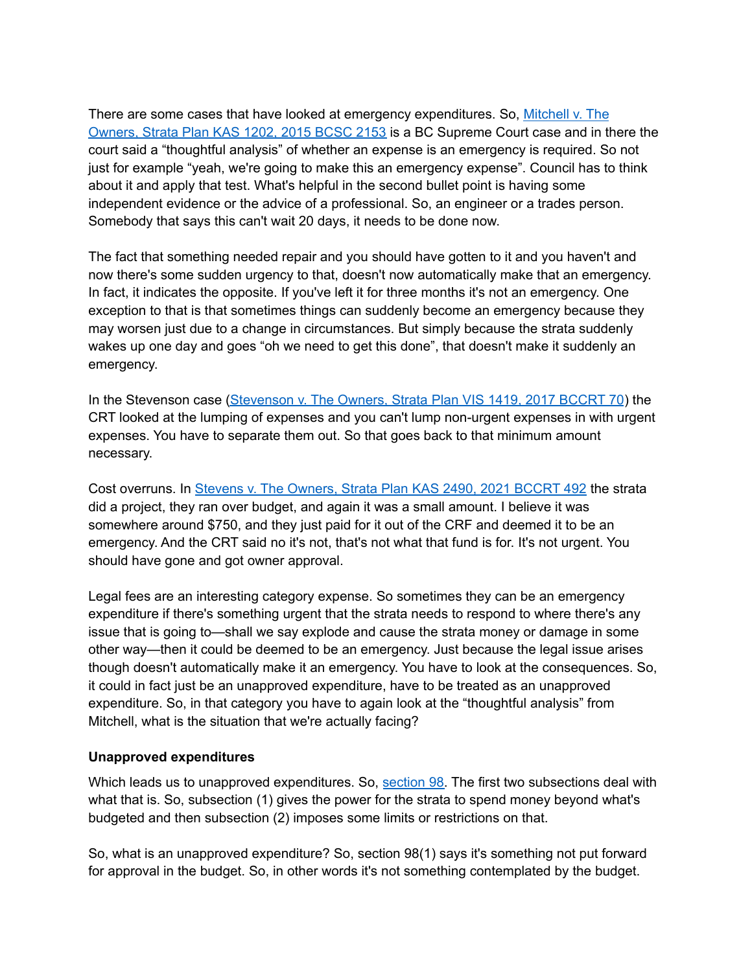There are some cases that have looked at emergency expenditures. So, [Mitchell](https://www.canlii.org/en/bc/bcsc/doc/2015/2015bcsc2153/2015bcsc2153.html) v. The [Owners,](https://www.canlii.org/en/bc/bcsc/doc/2015/2015bcsc2153/2015bcsc2153.html) Strata Plan KAS 1202, 2015 BCSC 2153 is a BC Supreme Court case and in there the court said a "thoughtful analysis" of whether an expense is an emergency is required. So not just for example "yeah, we're going to make this an emergency expense". Council has to think about it and apply that test. What's helpful in the second bullet point is having some independent evidence or the advice of a professional. So, an engineer or a trades person. Somebody that says this can't wait 20 days, it needs to be done now.

The fact that something needed repair and you should have gotten to it and you haven't and now there's some sudden urgency to that, doesn't now automatically make that an emergency. In fact, it indicates the opposite. If you've left it for three months it's not an emergency. One exception to that is that sometimes things can suddenly become an emergency because they may worsen just due to a change in circumstances. But simply because the strata suddenly wakes up one day and goes "oh we need to get this done", that doesn't make it suddenly an emergency.

In the Stevenson case [\(Stevenson](https://decisions.civilresolutionbc.ca/crt/sd/en/item/234187/index.do) v. The Owners, Strata Plan VIS 1419, 2017 BCCRT 70) the CRT looked at the lumping of expenses and you can't lump non-urgent expenses in with urgent expenses. You have to separate them out. So that goes back to that minimum amount necessary.

Cost overruns. In Stevens v. The [Owners,](https://decisions.civilresolutionbc.ca/crt/sd/en/item/496741/index.do) Strata Plan KAS 2490, 2021 BCCRT 492 the strata did a project, they ran over budget, and again it was a small amount. I believe it was somewhere around \$750, and they just paid for it out of the CRF and deemed it to be an emergency. And the CRT said no it's not, that's not what that fund is for. It's not urgent. You should have gone and got owner approval.

Legal fees are an interesting category expense. So sometimes they can be an emergency expenditure if there's something urgent that the strata needs to respond to where there's any issue that is going to—shall we say explode and cause the strata money or damage in some other way—then it could be deemed to be an emergency. Just because the legal issue arises though doesn't automatically make it an emergency. You have to look at the consequences. So, it could in fact just be an unapproved expenditure, have to be treated as an unapproved expenditure. So, in that category you have to again look at the "thoughtful analysis" from Mitchell, what is the situation that we're actually facing?

#### **Unapproved expenditures**

Which leads us to unapproved expenditures. So, [section](https://www.bclaws.gov.bc.ca/civix/document/id/complete/statreg/98043_06#section98) 98. The first two subsections deal with what that is. So, subsection (1) gives the power for the strata to spend money beyond what's budgeted and then subsection (2) imposes some limits or restrictions on that.

So, what is an unapproved expenditure? So, section 98(1) says it's something not put forward for approval in the budget. So, in other words it's not something contemplated by the budget.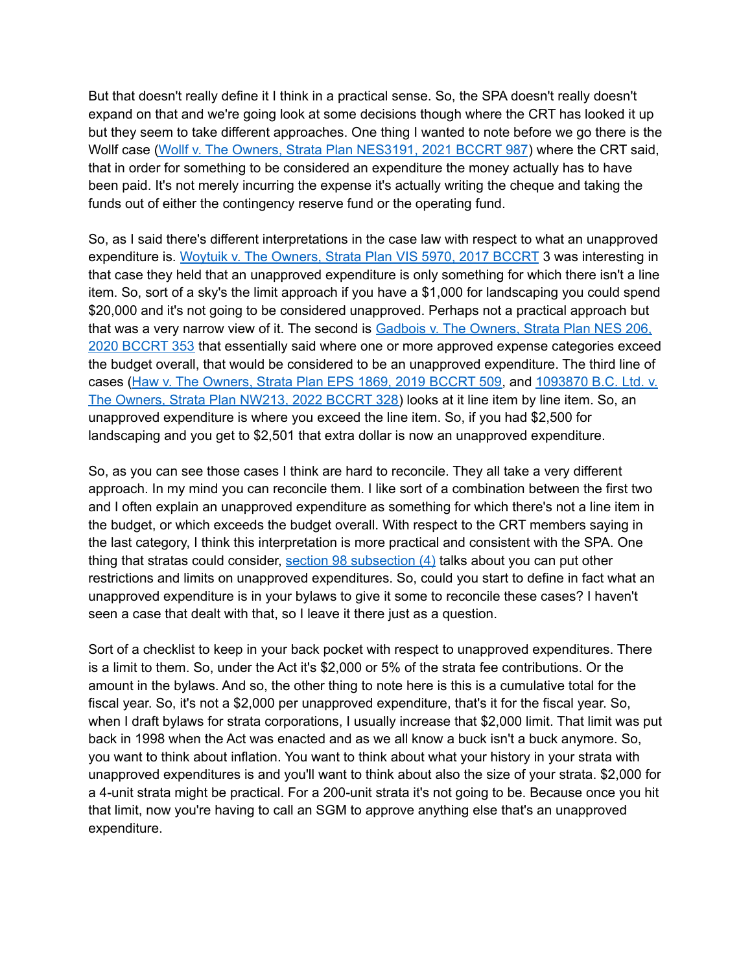But that doesn't really define it I think in a practical sense. So, the SPA doesn't really doesn't expand on that and we're going look at some decisions though where the CRT has looked it up but they seem to take different approaches. One thing I wanted to note before we go there is the Wollf case (Wollf v. The Owners, Strata Plan [NES3191,](https://decisions.civilresolutionbc.ca/crt/sd/en/item/512793/index.do) 2021 BCCRT 987) where the CRT said, that in order for something to be considered an expenditure the money actually has to have been paid. It's not merely incurring the expense it's actually writing the cheque and taking the funds out of either the contingency reserve fund or the operating fund.

So, as I said there's different interpretations in the case law with respect to what an unapproved expenditure is. Woytuik v. The [Owners,](https://decisions.civilresolutionbc.ca/crt/sd/en/item/229782/index.do) Strata Plan VIS 5970, 2017 BCCRT 3 was interesting in that case they held that an unapproved expenditure is only something for which there isn't a line item. So, sort of a sky's the limit approach if you have a \$1,000 for landscaping you could spend \$20,000 and it's not going to be considered unapproved. Perhaps not a practical approach but that was a very narrow view of it. The second is [Gadbois](https://decisions.civilresolutionbc.ca/crt/sd/en/item/468200/index.do) v. The Owners, Strata Plan NES 206, 2020 [BCCRT](https://decisions.civilresolutionbc.ca/crt/sd/en/item/468200/index.do) 353 that essentially said where one or more approved expense categories exceed the budget overall, that would be considered to be an unapproved expenditure. The third line of cases (Haw v. The [Owners,](https://decisions.civilresolutionbc.ca/crt/sd/en/item/400716/index.do) Strata Plan EPS 1869, 2019 BCCRT 509, and [1093870](https://decisions.civilresolutionbc.ca/crt/sd/en/item/521257/index.do) B.C. Ltd. v. The [Owners,](https://decisions.civilresolutionbc.ca/crt/sd/en/item/521257/index.do) Strata Plan NW213, 2022 BCCRT 328) looks at it line item by line item. So, an unapproved expenditure is where you exceed the line item. So, if you had \$2,500 for landscaping and you get to \$2,501 that extra dollar is now an unapproved expenditure.

So, as you can see those cases I think are hard to reconcile. They all take a very different approach. In my mind you can reconcile them. I like sort of a combination between the first two and I often explain an unapproved expenditure as something for which there's not a line item in the budget, or which exceeds the budget overall. With respect to the CRT members saying in the last category, I think this interpretation is more practical and consistent with the SPA. One thing that stratas could consider, section 98 [subsection](https://www.bclaws.gov.bc.ca/civix/document/id/complete/statreg/98043_06#section98) (4) talks about you can put other restrictions and limits on unapproved expenditures. So, could you start to define in fact what an unapproved expenditure is in your bylaws to give it some to reconcile these cases? I haven't seen a case that dealt with that, so I leave it there just as a question.

Sort of a checklist to keep in your back pocket with respect to unapproved expenditures. There is a limit to them. So, under the Act it's \$2,000 or 5% of the strata fee contributions. Or the amount in the bylaws. And so, the other thing to note here is this is a cumulative total for the fiscal year. So, it's not a \$2,000 per unapproved expenditure, that's it for the fiscal year. So, when I draft bylaws for strata corporations, I usually increase that \$2,000 limit. That limit was put back in 1998 when the Act was enacted and as we all know a buck isn't a buck anymore. So, you want to think about inflation. You want to think about what your history in your strata with unapproved expenditures is and you'll want to think about also the size of your strata. \$2,000 for a 4-unit strata might be practical. For a 200-unit strata it's not going to be. Because once you hit that limit, now you're having to call an SGM to approve anything else that's an unapproved expenditure.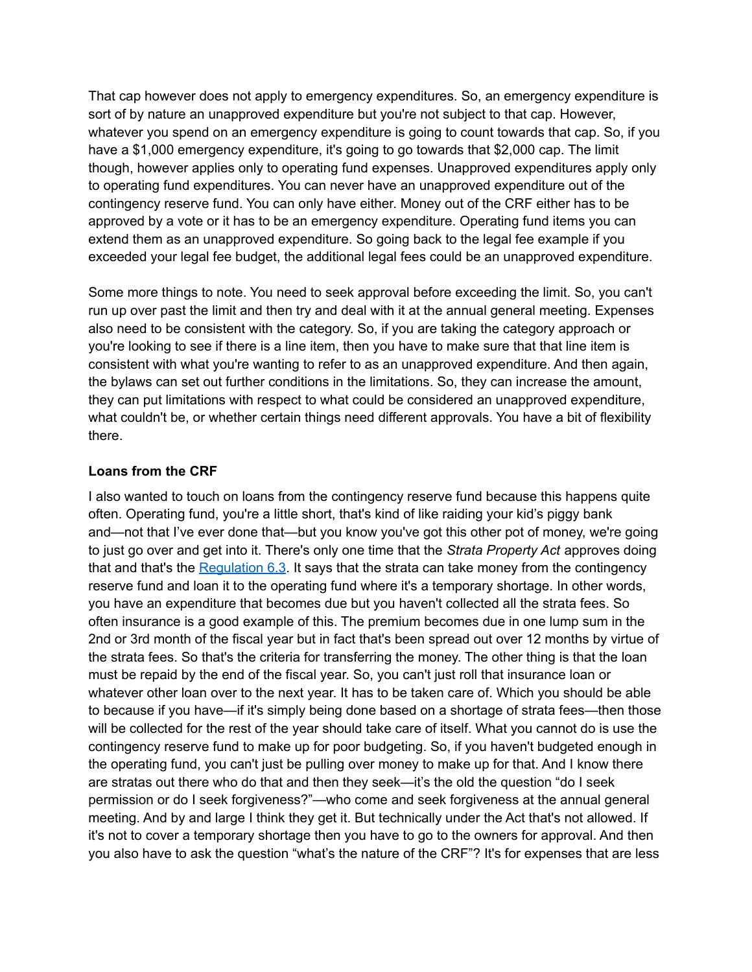That cap however does not apply to emergency expenditures. So, an emergency expenditure is sort of by nature an unapproved expenditure but you're not subject to that cap. However, whatever you spend on an emergency expenditure is going to count towards that cap. So, if you have a \$1,000 emergency expenditure, it's going to go towards that \$2,000 cap. The limit though, however applies only to operating fund expenses. Unapproved expenditures apply only to operating fund expenditures. You can never have an unapproved expenditure out of the contingency reserve fund. You can only have either. Money out of the CRF either has to be approved by a vote or it has to be an emergency expenditure. Operating fund items you can extend them as an unapproved expenditure. So going back to the legal fee example if you exceeded your legal fee budget, the additional legal fees could be an unapproved expenditure.

Some more things to note. You need to seek approval before exceeding the limit. So, you can't run up over past the limit and then try and deal with it at the annual general meeting. Expenses also need to be consistent with the category. So, if you are taking the category approach or you're looking to see if there is a line item, then you have to make sure that that line item is consistent with what you're wanting to refer to as an unapproved expenditure. And then again, the bylaws can set out further conditions in the limitations. So, they can increase the amount, they can put limitations with respect to what could be considered an unapproved expenditure, what couldn't be, or whether certain things need different approvals. You have a bit of flexibility there.

#### **Loans from the CRF**

I also wanted to touch on loans from the contingency reserve fund because this happens quite often. Operating fund, you're a little short, that's kind of like raiding your kid's piggy bank and—not that I've ever done that—but you know you've got this other pot of money, we're going to just go over and get into it. There's only one time that the *Strata Property Act* approves doing that and that's the [Regulation](https://www.bclaws.gov.bc.ca/civix/document/id/complete/statreg/43_2000#section6.3) 6.3. It says that the strata can take money from the contingency reserve fund and loan it to the operating fund where it's a temporary shortage. In other words, you have an expenditure that becomes due but you haven't collected all the strata fees. So often insurance is a good example of this. The premium becomes due in one lump sum in the 2nd or 3rd month of the fiscal year but in fact that's been spread out over 12 months by virtue of the strata fees. So that's the criteria for transferring the money. The other thing is that the loan must be repaid by the end of the fiscal year. So, you can't just roll that insurance loan or whatever other loan over to the next year. It has to be taken care of. Which you should be able to because if you have—if it's simply being done based on a shortage of strata fees—then those will be collected for the rest of the year should take care of itself. What you cannot do is use the contingency reserve fund to make up for poor budgeting. So, if you haven't budgeted enough in the operating fund, you can't just be pulling over money to make up for that. And I know there are stratas out there who do that and then they seek—it's the old the question "do I seek permission or do I seek forgiveness?"—who come and seek forgiveness at the annual general meeting. And by and large I think they get it. But technically under the Act that's not allowed. If it's not to cover a temporary shortage then you have to go to the owners for approval. And then you also have to ask the question "what's the nature of the CRF"? It's for expenses that are less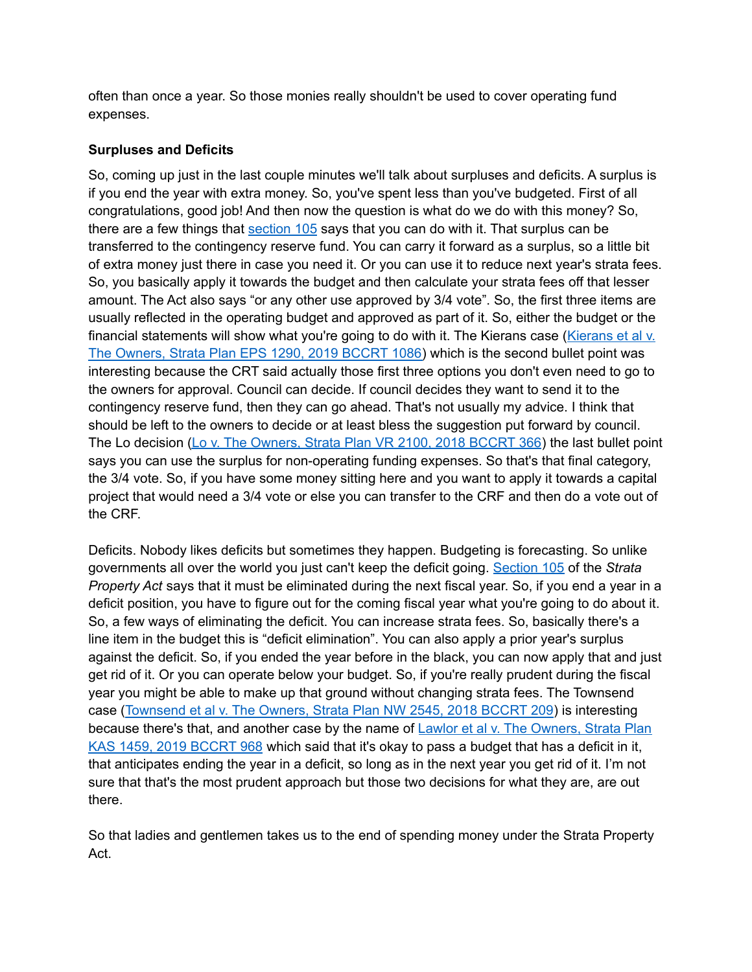often than once a year. So those monies really shouldn't be used to cover operating fund expenses.

#### **Surpluses and Deficits**

So, coming up just in the last couple minutes we'll talk about surpluses and deficits. A surplus is if you end the year with extra money. So, you've spent less than you've budgeted. First of all congratulations, good job! And then now the question is what do we do with this money? So, there are a few things that [section](https://www.bclaws.gov.bc.ca/civix/document/id/complete/statreg/98043_06#section105) 105 says that you can do with it. That surplus can be transferred to the contingency reserve fund. You can carry it forward as a surplus, so a little bit of extra money just there in case you need it. Or you can use it to reduce next year's strata fees. So, you basically apply it towards the budget and then calculate your strata fees off that lesser amount. The Act also says "or any other use approved by 3/4 vote". So, the first three items are usually reflected in the operating budget and approved as part of it. So, either the budget or the financial statements will show what you're going to do with it. The [Kierans](https://decisions.civilresolutionbc.ca/crt/sd/en/item/421464/index.do) case (Kierans et al v. The [Owners,](https://decisions.civilresolutionbc.ca/crt/sd/en/item/421464/index.do) Strata Plan EPS 1290, 2019 BCCRT 1086) which is the second bullet point was interesting because the CRT said actually those first three options you don't even need to go to the owners for approval. Council can decide. If council decides they want to send it to the contingency reserve fund, then they can go ahead. That's not usually my advice. I think that should be left to the owners to decide or at least bless the suggestion put forward by council. The Lo decision (Lo y. The [Owners,](https://decisions.civilresolutionbc.ca/crt/sd/en/item/316685/index.do) Strata Plan VR 2100, 2018 BCCRT 366) the last bullet point says you can use the surplus for non-operating funding expenses. So that's that final category, the 3/4 vote. So, if you have some money sitting here and you want to apply it towards a capital project that would need a 3/4 vote or else you can transfer to the CRF and then do a vote out of the CRF.

Deficits. Nobody likes deficits but sometimes they happen. Budgeting is forecasting. So unlike governments all over the world you just can't keep the deficit going. [Section](https://www.bclaws.gov.bc.ca/civix/document/id/complete/statreg/98043_06#section105) 105 of the *Strata Property Act* says that it must be eliminated during the next fiscal year. So, if you end a year in a deficit position, you have to figure out for the coming fiscal year what you're going to do about it. So, a few ways of eliminating the deficit. You can increase strata fees. So, basically there's a line item in the budget this is "deficit elimination". You can also apply a prior year's surplus against the deficit. So, if you ended the year before in the black, you can now apply that and just get rid of it. Or you can operate below your budget. So, if you're really prudent during the fiscal year you might be able to make up that ground without changing strata fees. The Townsend case ([Townsend](https://decisions.civilresolutionbc.ca/crt/sd/en/item/310614/index.do) et al v. The Owners, Strata Plan NW 2545, 2018 BCCRT 209) is interesting because there's that, and another case by the name of Lawlor et al v. The [Owners,](https://decisions.civilresolutionbc.ca/crt/sd/en/item/419812/index.do) Strata Plan KAS 1459, 2019 [BCCRT](https://decisions.civilresolutionbc.ca/crt/sd/en/item/419812/index.do) 968 which said that it's okay to pass a budget that has a deficit in it, that anticipates ending the year in a deficit, so long as in the next year you get rid of it. I'm not sure that that's the most prudent approach but those two decisions for what they are, are out there.

So that ladies and gentlemen takes us to the end of spending money under the Strata Property Act.